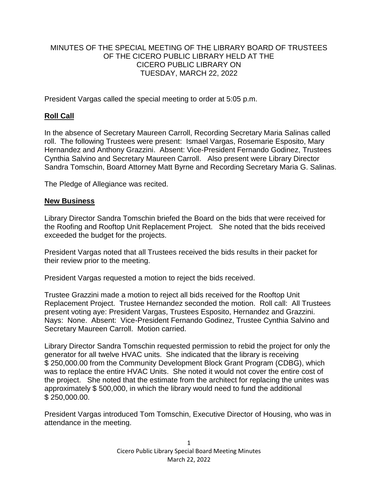### MINUTES OF THE SPECIAL MEETING OF THE LIBRARY BOARD OF TRUSTEES OF THE CICERO PUBLIC LIBRARY HELD AT THE CICERO PUBLIC LIBRARY ON TUESDAY, MARCH 22, 2022

President Vargas called the special meeting to order at 5:05 p.m.

# **Roll Call**

In the absence of Secretary Maureen Carroll, Recording Secretary Maria Salinas called roll. The following Trustees were present: Ismael Vargas, Rosemarie Esposito, Mary Hernandez and Anthony Grazzini. Absent: Vice-President Fernando Godinez, Trustees Cynthia Salvino and Secretary Maureen Carroll. Also present were Library Director Sandra Tomschin, Board Attorney Matt Byrne and Recording Secretary Maria G. Salinas.

The Pledge of Allegiance was recited.

#### **New Business**

Library Director Sandra Tomschin briefed the Board on the bids that were received for the Roofing and Rooftop Unit Replacement Project. She noted that the bids received exceeded the budget for the projects.

President Vargas noted that all Trustees received the bids results in their packet for their review prior to the meeting.

President Vargas requested a motion to reject the bids received.

Trustee Grazzini made a motion to reject all bids received for the Rooftop Unit Replacement Project. Trustee Hernandez seconded the motion. Roll call: All Trustees present voting aye: President Vargas, Trustees Esposito, Hernandez and Grazzini. Nays: None. Absent: Vice-President Fernando Godinez, Trustee Cynthia Salvino and Secretary Maureen Carroll. Motion carried.

Library Director Sandra Tomschin requested permission to rebid the project for only the generator for all twelve HVAC units. She indicated that the library is receiving \$ 250,000.00 from the Community Development Block Grant Program (CDBG), which was to replace the entire HVAC Units. She noted it would not cover the entire cost of the project. She noted that the estimate from the architect for replacing the unites was approximately \$ 500,000, in which the library would need to fund the additional \$ 250,000.00.

President Vargas introduced Tom Tomschin, Executive Director of Housing, who was in attendance in the meeting.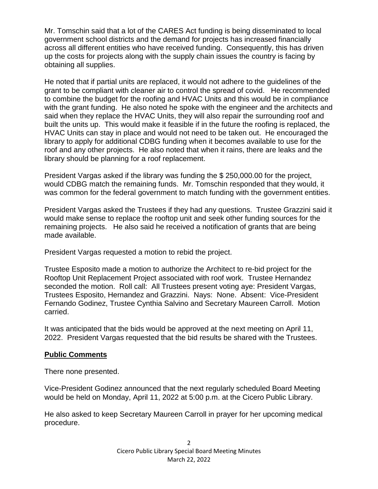Mr. Tomschin said that a lot of the CARES Act funding is being disseminated to local government school districts and the demand for projects has increased financially across all different entities who have received funding. Consequently, this has driven up the costs for projects along with the supply chain issues the country is facing by obtaining all supplies.

He noted that if partial units are replaced, it would not adhere to the guidelines of the grant to be compliant with cleaner air to control the spread of covid. He recommended to combine the budget for the roofing and HVAC Units and this would be in compliance with the grant funding. He also noted he spoke with the engineer and the architects and said when they replace the HVAC Units, they will also repair the surrounding roof and built the units up. This would make it feasible if in the future the roofing is replaced, the HVAC Units can stay in place and would not need to be taken out. He encouraged the library to apply for additional CDBG funding when it becomes available to use for the roof and any other projects. He also noted that when it rains, there are leaks and the library should be planning for a roof replacement.

President Vargas asked if the library was funding the \$ 250,000.00 for the project, would CDBG match the remaining funds. Mr. Tomschin responded that they would, it was common for the federal government to match funding with the government entities.

President Vargas asked the Trustees if they had any questions. Trustee Grazzini said it would make sense to replace the rooftop unit and seek other funding sources for the remaining projects. He also said he received a notification of grants that are being made available.

President Vargas requested a motion to rebid the project.

Trustee Esposito made a motion to authorize the Architect to re-bid project for the Rooftop Unit Replacement Project associated with roof work. Trustee Hernandez seconded the motion. Roll call: All Trustees present voting aye: President Vargas, Trustees Esposito, Hernandez and Grazzini. Nays: None. Absent: Vice-President Fernando Godinez, Trustee Cynthia Salvino and Secretary Maureen Carroll. Motion carried.

It was anticipated that the bids would be approved at the next meeting on April 11, 2022. President Vargas requested that the bid results be shared with the Trustees.

# **Public Comments**

There none presented.

Vice-President Godinez announced that the next regularly scheduled Board Meeting would be held on Monday, April 11, 2022 at 5:00 p.m. at the Cicero Public Library.

He also asked to keep Secretary Maureen Carroll in prayer for her upcoming medical procedure.